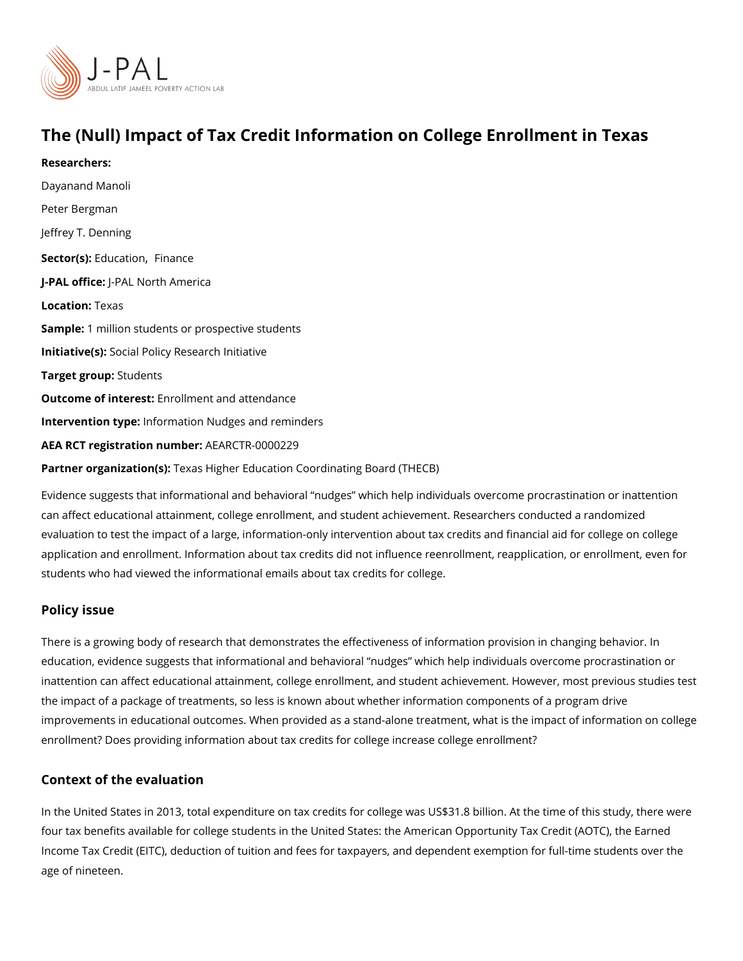# The (Null) Impact of Tax Credit Information on College Enro

Researchers: [Dayanand M](https://www.povertyactionlab.org/person/manoli)anoli Peter Bergman Jeffrey T. Denning Sector(Es) ucation nance J-PAL of Ui-CPEAL North America Locationexas Sample: million students or prospective students Initiative\$scial Policy Research Initiative Target gro**Spudents** Outcome of interestilment and attendance Intervention the pheormation Nudges and reminders AEA RCT registration ArEuAnRbGeTR-0000229 Partner organizatTex(ass): Higher Education Coordinating Board (THECB)

Evidence suggests that informational and behavioral nudges which help individuals over can affect educational attainment, college enrollment, and student achievement. Research evaluation to test the impact of a large, information-only intervention about tax credits and application and enrollment. Information about tax credits did not influence reenrollment, students who had viewed the informational emails about tax credits for college.

### Policy issue

There is a growing body of research that demonstrates the effectiveness of information pr education, evidence suggests that informational and behavioral nudges which help indiv inattention can affect educational attainment, college enrollment, and student achievemer the impact of a package of treatments, so less is known about whether information compo improvements in educational outcomes. When provided as a stand-alone treatment, what i enrollment? Does providing information about tax credits for college increase college enr

### Context of the evaluation

In the United States in 2013, total expenditure on tax credits for college was US\$31.8 bil four tax benefits available for college students in the United States: the American Opport Income Tax Credit (EITC), deduction of tuition and fees for taxpayers, and dependent exe age of nineteen.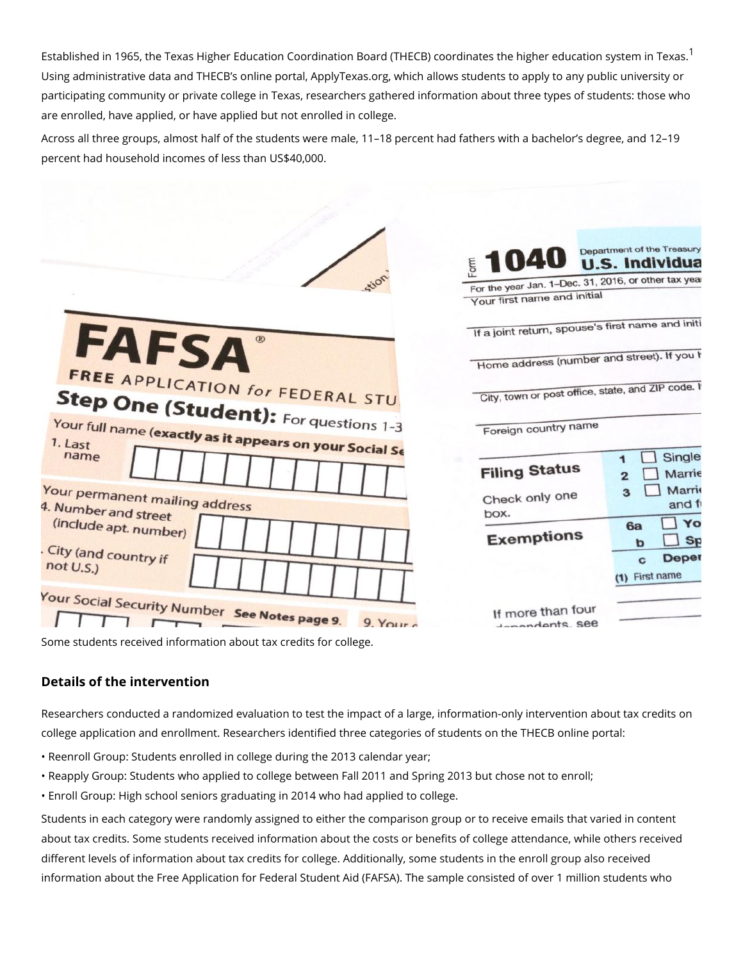Established in [1](#page-3-0)965, the Texas Higher Education Coordination Board (THECB) coordinates Using administrative data and THECB s online portal, ApplyTexas.org, which allows stude participating community or private college in Texas, researchers gathered information about are enrolled, have applied, or have applied but not enrolled in college.

Across all three groups, almost half of the students were male, 11 18 percent had fathers percent had household incomes of less than US\$40,000.

Some students received information about tax credits for college.

#### Details of the intervention

Researchers conducted a randomized evaluation to test the impact of a large, information college application and enrollment. Researchers identified three categories of students o

" Reenroll Group: Students enrolled in college during the 2013 calendar year;

" Reapply Group: Students who applied to college between Fall 2011 and Spring 2013 but " Enroll Group: High school seniors graduating in 2014 who had applied to college.

Students in each category were randomly assigned to either the comparison group or to re about tax credits. Some students received information about the costs or benefits of colle different levels of information about tax credits for college. Additionally, some students i information about the Free Application for Federal Student Aid (FAFSA). The sample cons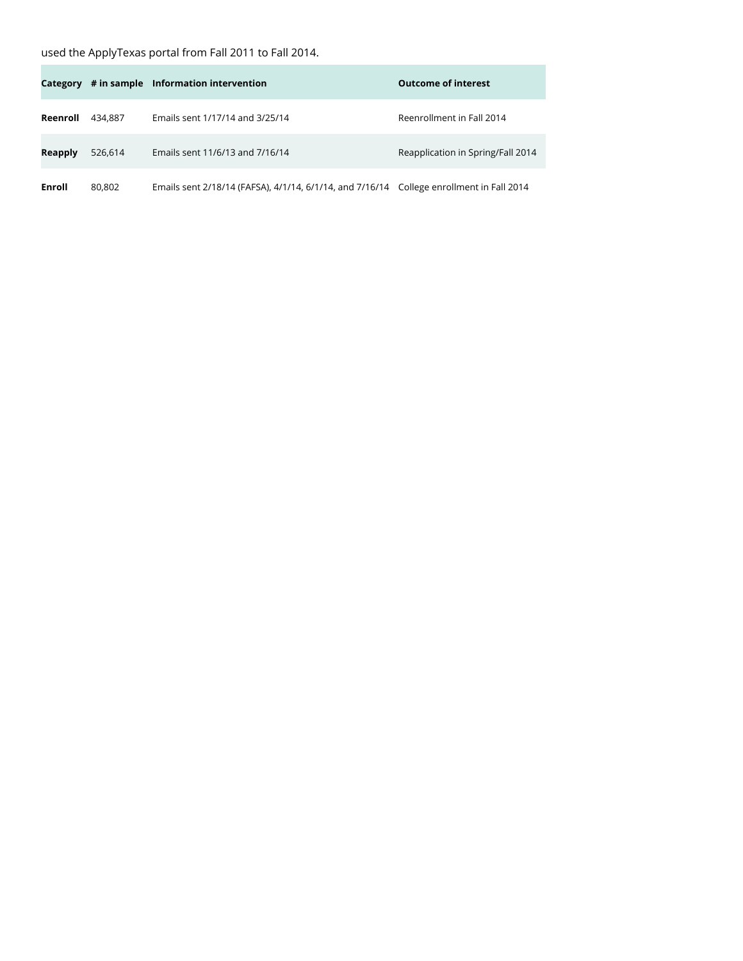## used the ApplyTexas portal from Fall 2011 to Fall 2014.

×

|                |         | Category # in sample Information intervention                                            | <b>Outcome of interest</b>        |
|----------------|---------|------------------------------------------------------------------------------------------|-----------------------------------|
| Reenroll       | 434.887 | Emails sent 1/17/14 and 3/25/14                                                          | Reenrollment in Fall 2014         |
| <b>Reapply</b> | 526.614 | Emails sent 11/6/13 and 7/16/14                                                          | Reapplication in Spring/Fall 2014 |
| Enroll         | 80.802  | Emails sent 2/18/14 (FAFSA), 4/1/14, 6/1/14, and 7/16/14 College enrollment in Fall 2014 |                                   |